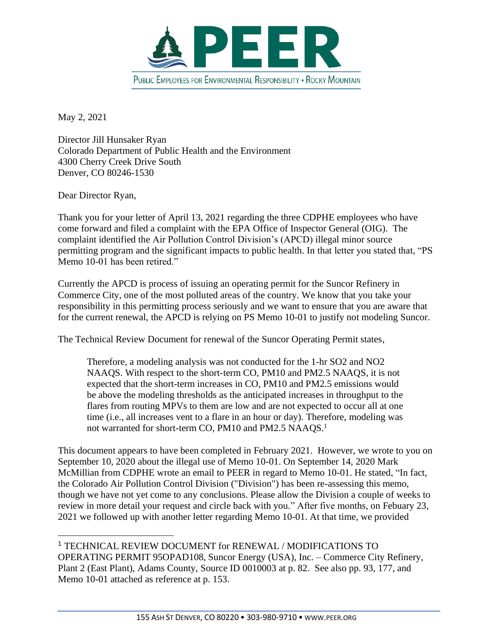

May 2, 2021

Director Jill Hunsaker Ryan Colorado Department of Public Health and the Environment 4300 Cherry Creek Drive South Denver, CO 80246-1530

Dear Director Ryan,

Thank you for your letter of April 13, 2021 regarding the three CDPHE employees who have come forward and filed a complaint with the EPA Office of Inspector General (OIG). The complaint identified the Air Pollution Control Division's (APCD) illegal minor source permitting program and the significant impacts to public health. In that letter you stated that, "PS Memo 10-01 has been retired."

Currently the APCD is process of issuing an operating permit for the Suncor Refinery in Commerce City, one of the most polluted areas of the country. We know that you take your responsibility in this permitting process seriously and we want to ensure that you are aware that for the current renewal, the APCD is relying on PS Memo 10-01 to justify not modeling Suncor.

The Technical Review Document for renewal of the Suncor Operating Permit states,

Therefore, a modeling analysis was not conducted for the 1-hr SO2 and NO2 NAAQS. With respect to the short-term CO, PM10 and PM2.5 NAAQS, it is not expected that the short-term increases in CO, PM10 and PM2.5 emissions would be above the modeling thresholds as the anticipated increases in throughput to the flares from routing MPVs to them are low and are not expected to occur all at one time (i.e., all increases vent to a flare in an hour or day). Therefore, modeling was not warranted for short-term CO, PM10 and PM2.5 NAAQS.<sup>1</sup>

This document appears to have been completed in February 2021. However, we wrote to you on September 10, 2020 about the illegal use of Memo 10-01. On September 14, 2020 Mark McMillian from CDPHE wrote an email to PEER in regard to Memo 10-01. He stated, "In fact, the Colorado Air Pollution Control Division ("Division") has been re-assessing this memo, though we have not yet come to any conclusions. Please allow the Division a couple of weeks to review in more detail your request and circle back with you." After five months, on Febuary 23, 2021 we followed up with another letter regarding Memo 10-01. At that time, we provided

<sup>1</sup> TECHNICAL REVIEW DOCUMENT for RENEWAL / MODIFICATIONS TO OPERATING PERMIT 95OPAD108, Suncor Energy (USA), Inc. – Commerce City Refinery, Plant 2 (East Plant), Adams County, Source ID 0010003 at p. 82. See also pp. 93, 177, and Memo 10-01 attached as reference at p. 153.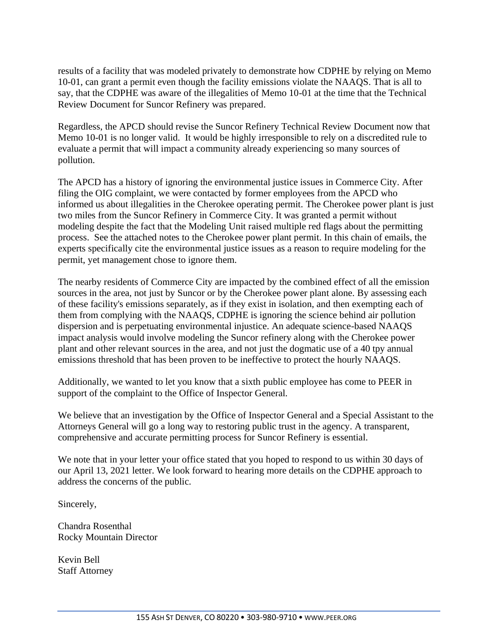results of a facility that was modeled privately to demonstrate how CDPHE by relying on Memo 10-01, can grant a permit even though the facility emissions violate the NAAQS. That is all to say, that the CDPHE was aware of the illegalities of Memo 10-01 at the time that the Technical Review Document for Suncor Refinery was prepared.

Regardless, the APCD should revise the Suncor Refinery Technical Review Document now that Memo 10-01 is no longer valid. It would be highly irresponsible to rely on a discredited rule to evaluate a permit that will impact a community already experiencing so many sources of pollution.

The APCD has a history of ignoring the environmental justice issues in Commerce City. After filing the OIG complaint, we were contacted by former employees from the APCD who informed us about illegalities in the Cherokee operating permit. The Cherokee power plant is just two miles from the Suncor Refinery in Commerce City. It was granted a permit without modeling despite the fact that the Modeling Unit raised multiple red flags about the permitting process. See the attached notes to the Cherokee power plant permit. In this chain of emails, the experts specifically cite the environmental justice issues as a reason to require modeling for the permit, yet management chose to ignore them.

The nearby residents of Commerce City are impacted by the combined effect of all the emission sources in the area, not just by Suncor or by the Cherokee power plant alone. By assessing each of these facility's emissions separately, as if they exist in isolation, and then exempting each of them from complying with the NAAQS, CDPHE is ignoring the science behind air pollution dispersion and is perpetuating environmental injustice. An adequate science-based NAAQS impact analysis would involve modeling the Suncor refinery along with the Cherokee power plant and other relevant sources in the area, and not just the dogmatic use of a 40 tpy annual emissions threshold that has been proven to be ineffective to protect the hourly NAAQS.

Additionally, we wanted to let you know that a sixth public employee has come to PEER in support of the complaint to the Office of Inspector General.

We believe that an investigation by the Office of Inspector General and a Special Assistant to the Attorneys General will go a long way to restoring public trust in the agency. A transparent, comprehensive and accurate permitting process for Suncor Refinery is essential.

We note that in your letter your office stated that you hoped to respond to us within 30 days of our April 13, 2021 letter. We look forward to hearing more details on the CDPHE approach to address the concerns of the public.

Sincerely,

Chandra Rosenthal Rocky Mountain Director

Kevin Bell Staff Attorney